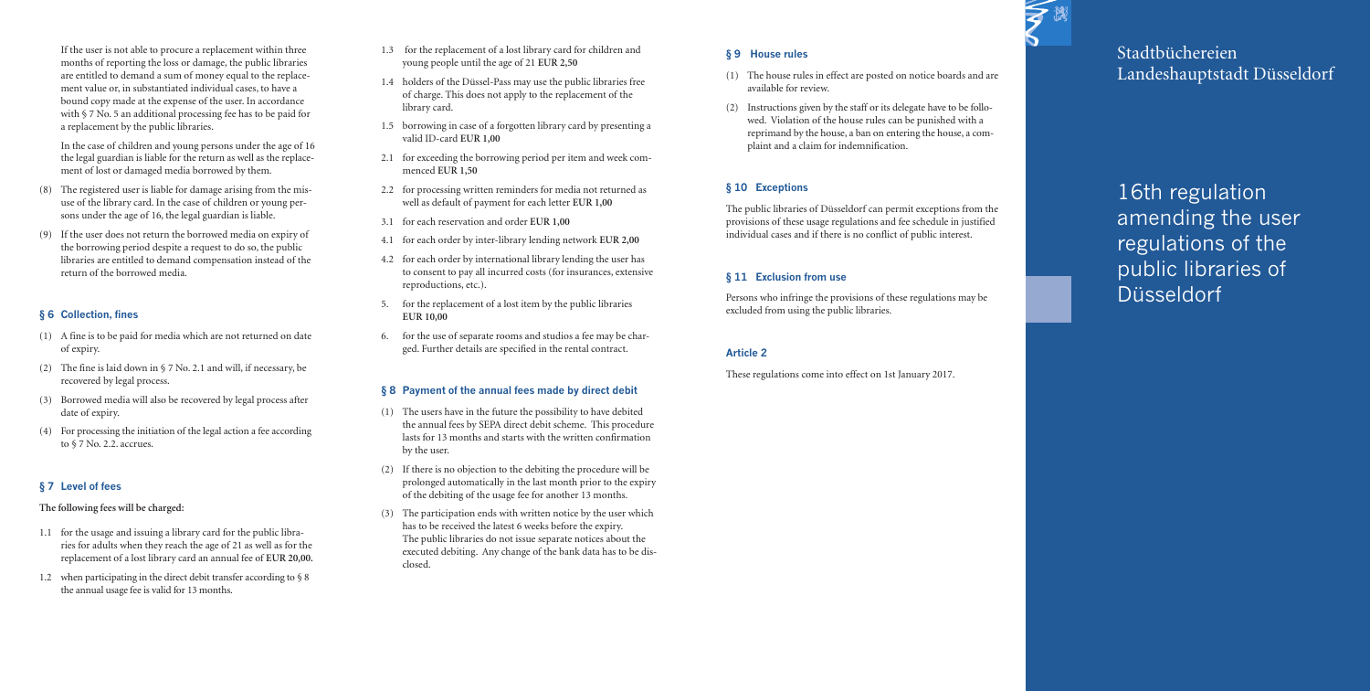If the user is not able to procure a replacement within three months of reporting the loss or damage, the public libraries are entitled to demand a sum of money equal to the replacement value or, in substantiated individual cases, to have a bound copy made at the expense of the user. In accordance with § 7 No. 5 an additional processing fee has to be paid for a replacement by the public libraries.

In the case of children and young persons under the age of 16 the legal guardian is liable for the return as well as the replacement of lost or damaged media borrowed by them.

- (8) The registered user is liable for damage arising from the misuse of the library card. In the case of children or young persons under the age of 16, the legal guardian is liable.
- (9) If the user does not return the borrowed media on expiry of the borrowing period despite a request to do so, the public libraries are entitled to demand compensation instead of the return of the borrowed media.

## **§** 6 Collection, fines

- (1) A fine is to be paid for media which are not returned on date o f e x p i r y.
- (2) The fine is laid down in  $\S 7$  No. 2.1 and will, if necessary, be recovered by legal process.
- (3) Borrowed media will also be recovered by legal process after date of expiry.
- (4) For processing the initiation of the legal action a fee according to § 7 No. 2.2. accrues.

## **§ 7 L e v e l o f f e e s**

#### The following fees will be charged:

- 1.1 for the usage and issuing a library card for the public libraries for adults when they reach the age of 21 as well as for the replacement of a lost library card an annual fee of EUR 20,00.
- 1.2 when participating in the direct debit transfer according to § 8 the annual usage fee is valid for 13 months.
- 1.3 for the replacement of a lost library card for children and yo u n g p e o p l e u n t i l t h e a g e o f 2 1 **E U R 2 , 5 0**
- 1.4 holders of the Düssel-Pass may use the public libraries free of charge. This does not apply to the replacement of the library card.
- 1.5 borrowing in case of a forgotten library card by presenting a v a l i d I D - c a r d **E U R 1 , 0 0**
- 2.1 for exceeding the borrowing period per item and week comm e n c e d **E U R 1 , 5 0**
- 2.2 for processing written reminders for media not returned as well as default of payment for each letter EUR 1,00
- 3 . 1 fo r e a c h r e s e r v a t i o n a n d o r d e r **E U R 1 , 0 0**
- 4 . 1 fo r e a c h o r d e r b y i n t e r l i b r a r y l e n d i n g n e t w o r k **E U R 2 , 0 0**
- 4.2 for each order by international library lending the user has to consent to pay all incurred costs (for insurances, extensive reproductions, etc.).
- 5. for the replacement of a lost item by the public libraries **E U R 1 0 , 0 0**
- 6. for the use of separate rooms and studios a fee may be charged. Further details are specified in the rental contract.

### § 8 Payment of the annual fees made by direct debit

- (1) The users have in the future the possibility to have debited the annual fees by SEPA direct debit scheme. This procedure lasts for 13 months and starts with the written confirmation by the user.
- (2) If there is no objection to the debiting the procedure will be prolonged automatically in the last month prior to the expiry of the debiting of the usage fee for another 13 months.
- (3) The participation ends with written notice by the user which has to be received the latest 6 weeks before the expiry. The public libraries do not issue separate notices about the executed debiting. Any change of the bank data has to be disc l o s e d .

## **§ 9 H o u s e r u l e s**

- (1) The house rules in effect are posted on notice boards and are available for review.
- (2) Instructions given by the staff or its delegate have to be followed. Violation of the house rules can be punished with a reprimand by the house, a ban on entering the house, a complaint and a claim for indemnification.

# **§** 10 Exceptions

The public libraries of Düsseldorf can permit exceptions from the provisions of these usage regulations and fee schedule in justified individual cases and if there is no conflict of public interest.

# **§** 11 Exclusion from use

Persons who infringe the provisions of these regulations may be excluded from using the public libraries.

### **A r t i c l e 2**

These regulations come into effect on 1st January 2017.



Stadtbüchereien Landeshauptstadt Düsseldorf

16th regulation amending the user regulations of the public libraries of Düsseldorf